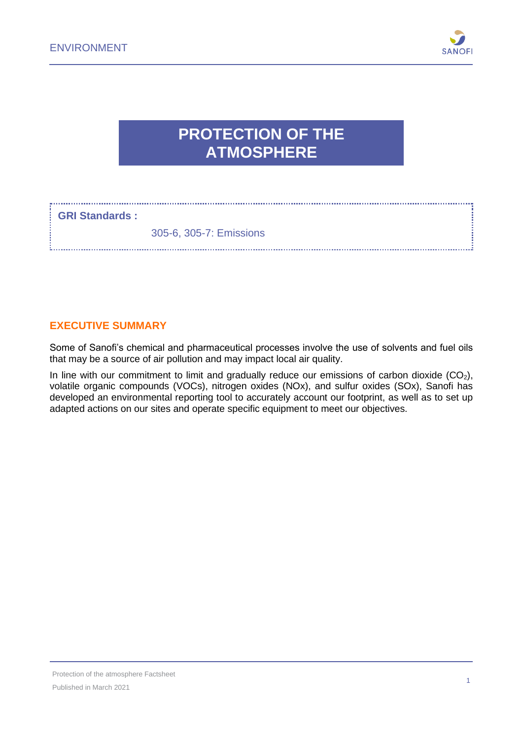

# **PROTECTION OF THE ATMOSPHERE**

#### **GRI Standards :**

305-6, 305-7: Emissions

#### **EXECUTIVE SUMMARY**

Some of Sanofi's chemical and pharmaceutical processes involve the use of solvents and fuel oils that may be a source of air pollution and may impact local air quality.

In line with our commitment to limit and gradually reduce our emissions of carbon dioxide  $(CO<sub>2</sub>)$ , volatile organic compounds (VOCs), nitrogen oxides (NOx), and sulfur oxides (SOx), Sanofi has developed an environmental reporting tool to accurately account our footprint, as well as to set up adapted actions on our sites and operate specific equipment to meet our objectives.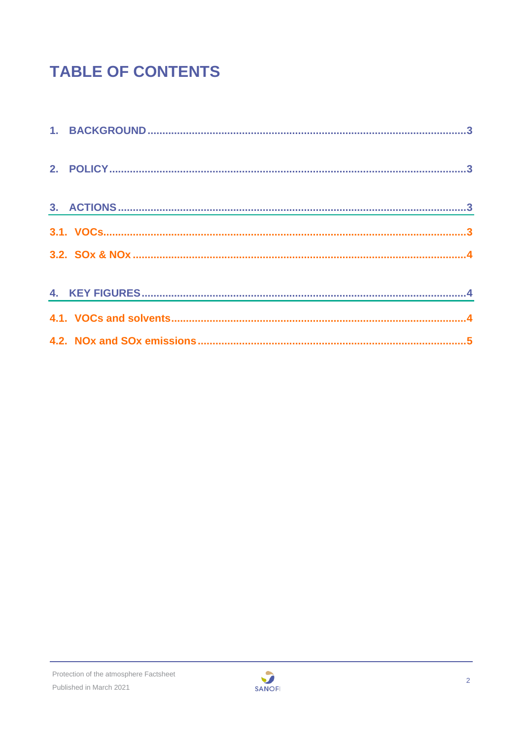# **TABLE OF CONTENTS**

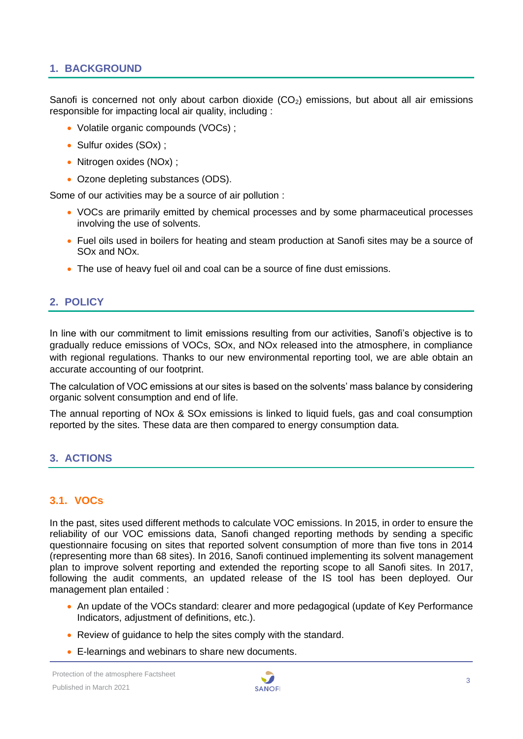#### <span id="page-2-0"></span>**1. BACKGROUND**

Sanofi is concerned not only about carbon dioxide  $(CO<sub>2</sub>)$  emissions, but about all air emissions responsible for impacting local air quality, including :

- Volatile organic compounds (VOCs);
- Sulfur oxides (SOx) ;
- Nitrogen oxides (NOx) :
- Ozone depleting substances (ODS).

Some of our activities may be a source of air pollution :

- VOCs are primarily emitted by chemical processes and by some pharmaceutical processes involving the use of solvents.
- Fuel oils used in boilers for heating and steam production at Sanofi sites may be a source of SOx and NOx.
- The use of heavy fuel oil and coal can be a source of fine dust emissions.

#### <span id="page-2-1"></span>**2. POLICY**

In line with our commitment to limit emissions resulting from our activities, Sanofi's objective is to gradually reduce emissions of VOCs, SOx, and NOx released into the atmosphere, in compliance with regional regulations. Thanks to our new environmental reporting tool, we are able obtain an accurate accounting of our footprint.

The calculation of VOC emissions at our sites is based on the solvents' mass balance by considering organic solvent consumption and end of life.

The annual reporting of NOx & SOx emissions is linked to liquid fuels, gas and coal consumption reported by the sites. These data are then compared to energy consumption data.

#### <span id="page-2-2"></span>**3. ACTIONS**

#### <span id="page-2-3"></span>**3.1. VOCs**

In the past, sites used different methods to calculate VOC emissions. In 2015, in order to ensure the reliability of our VOC emissions data, Sanofi changed reporting methods by sending a specific questionnaire focusing on sites that reported solvent consumption of more than five tons in 2014 (representing more than 68 sites). In 2016, Sanofi continued implementing its solvent management plan to improve solvent reporting and extended the reporting scope to all Sanofi sites. In 2017, following the audit comments, an updated release of the IS tool has been deployed. Our management plan entailed :

- An update of the VOCs standard: clearer and more pedagogical (update of Key Performance Indicators, adjustment of definitions, etc.).
- Review of guidance to help the sites comply with the standard.
- E-learnings and webinars to share new documents.

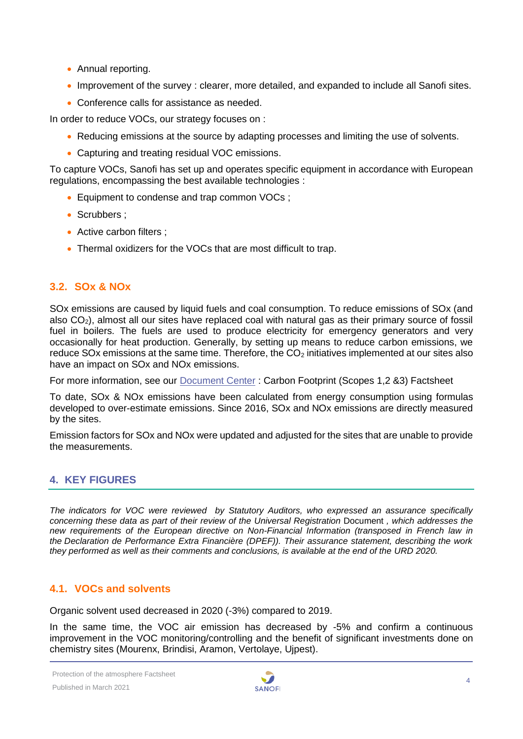- Annual reporting.
- Improvement of the survey : clearer, more detailed, and expanded to include all Sanofi sites.
- Conference calls for assistance as needed.

In order to reduce VOCs, our strategy focuses on :

- Reducing emissions at the source by adapting processes and limiting the use of solvents.
- Capturing and treating residual VOC emissions.

To capture VOCs, Sanofi has set up and operates specific equipment in accordance with European regulations, encompassing the best available technologies :

- Equipment to condense and trap common VOCs :
- Scrubbers :
- Active carbon filters ;
- Thermal oxidizers for the VOCs that are most difficult to trap.

#### <span id="page-3-0"></span>**3.2. SOx & NOx**

SOx emissions are caused by liquid fuels and coal consumption. To reduce emissions of SOx (and also  $CO<sub>2</sub>$ ), almost all our sites have replaced coal with natural gas as their primary source of fossil fuel in boilers. The fuels are used to produce electricity for emergency generators and very occasionally for heat production. Generally, by setting up means to reduce carbon emissions, we reduce SOx emissions at the same time. Therefore, the  $CO<sub>2</sub>$  initiatives implemented at our sites also have an impact on SOx and NOx emissions.

For more information, see our [Document Center](https://www.sanofi.com/en/our-responsibility/documents-center) : Carbon Footprint (Scopes 1,2 &3) Factsheet

To date, SOx & NOx emissions have been calculated from energy consumption using formulas developed to over-estimate emissions. Since 2016, SOx and NOx emissions are directly measured by the sites.

Emission factors for SOx and NOx were updated and adjusted for the sites that are unable to provide the measurements.

### <span id="page-3-1"></span>**4. KEY FIGURES**

*The indicators for VOC were reviewed by Statutory Auditors, who expressed an assurance specifically concerning these data as part of their review of the Universal Registration* Document *, which addresses the new requirements of the European directive on Non-Financial Information (transposed in French law in the Declaration de Performance Extra Financière (DPEF)). Their assurance statement, describing the work they performed as well as their comments and conclusions, is available at the end of the URD 2020.*

#### <span id="page-3-2"></span>**4.1. VOCs and solvents**

Organic solvent used decreased in 2020 (-3%) compared to 2019.

In the same time, the VOC air emission has decreased by -5% and confirm a continuous improvement in the VOC monitoring/controlling and the benefit of significant investments done on chemistry sites (Mourenx, Brindisi, Aramon, Vertolaye, Ujpest).